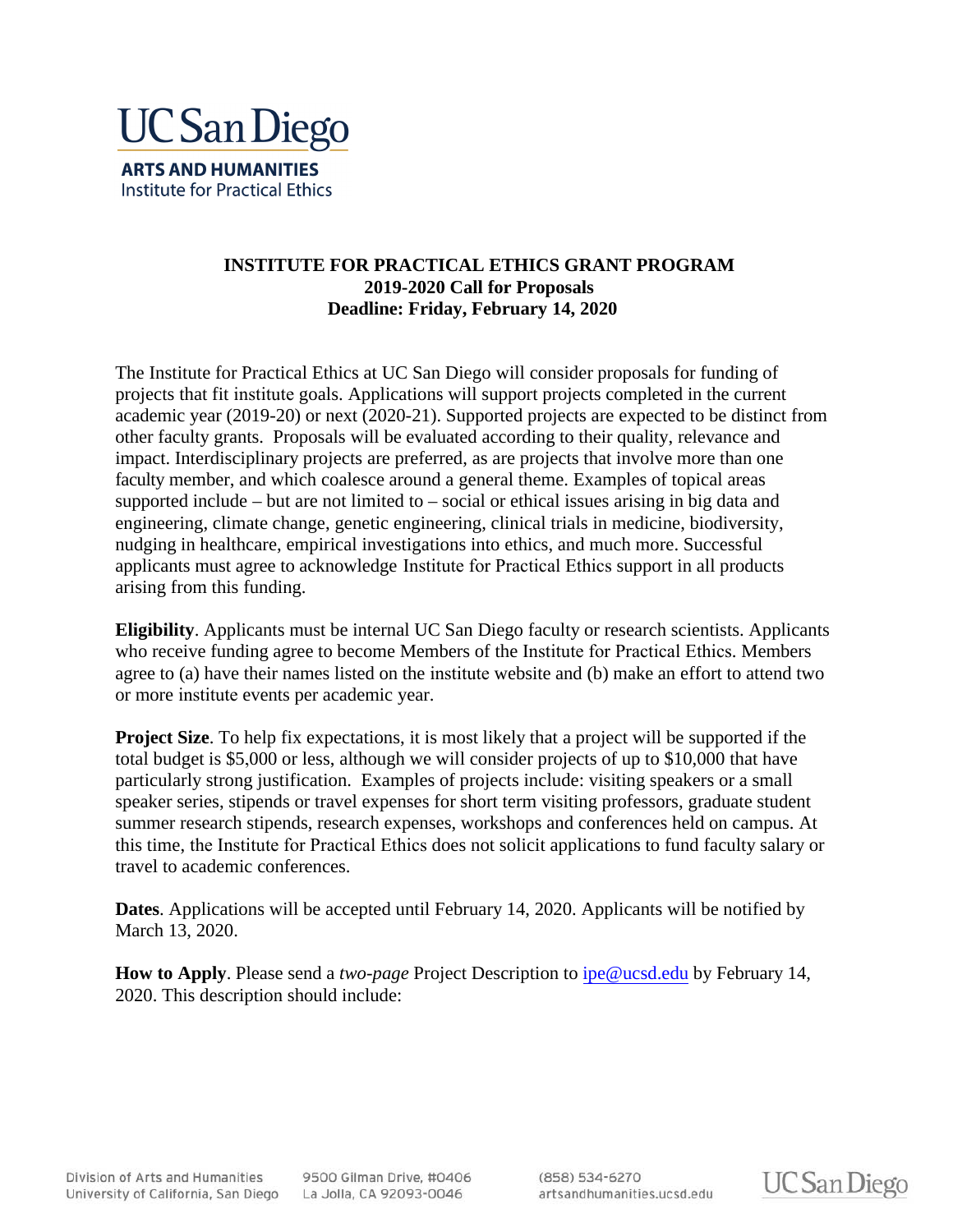

## **INSTITUTE FOR PRACTICAL ETHICS GRANT PROGRAM 2019-2020 Call for Proposals Deadline: Friday, February 14, 2020**

The Institute for Practical Ethics at UC San Diego will consider proposals for funding of projects that fit institute goals. Applications will support projects completed in the current academic year (2019-20) or next (2020-21). Supported projects are expected to be distinct from other faculty grants. Proposals will be evaluated according to their quality, relevance and impact. Interdisciplinary projects are preferred, as are projects that involve more than one faculty member, and which coalesce around a general theme. Examples of topical areas supported include – but are not limited to – social or ethical issues arising in big data and engineering, climate change, genetic engineering, clinical trials in medicine, biodiversity, nudging in healthcare, empirical investigations into ethics, and much more. Successful applicants must agree to acknowledge Institute for Practical Ethics support in all products arising from this funding.

**Eligibility**. Applicants must be internal UC San Diego faculty or research scientists. Applicants who receive funding agree to become Members of the Institute for Practical Ethics. Members agree to (a) have their names listed on the institute website and (b) make an effort to attend two or more institute events per academic year.

**Project Size**. To help fix expectations, it is most likely that a project will be supported if the total budget is \$5,000 or less, although we will consider projects of up to \$10,000 that have particularly strong justification. Examples of projects include: visiting speakers or a small speaker series, stipends or travel expenses for short term visiting professors, graduate student summer research stipends, research expenses, workshops and conferences held on campus. At this time, the Institute for Practical Ethics does not solicit applications to fund faculty salary or travel to academic conferences.

**Dates**. Applications will be accepted until February 14, 2020. Applicants will be notified by March 13, 2020.

**How to Apply**. Please send a *two-page* Project Description to ipe@ucsd.edu by February 14, 2020. This description should include:

Division of Arts and Humanities University of California, San Diego La Jolla, CA 92093-0046